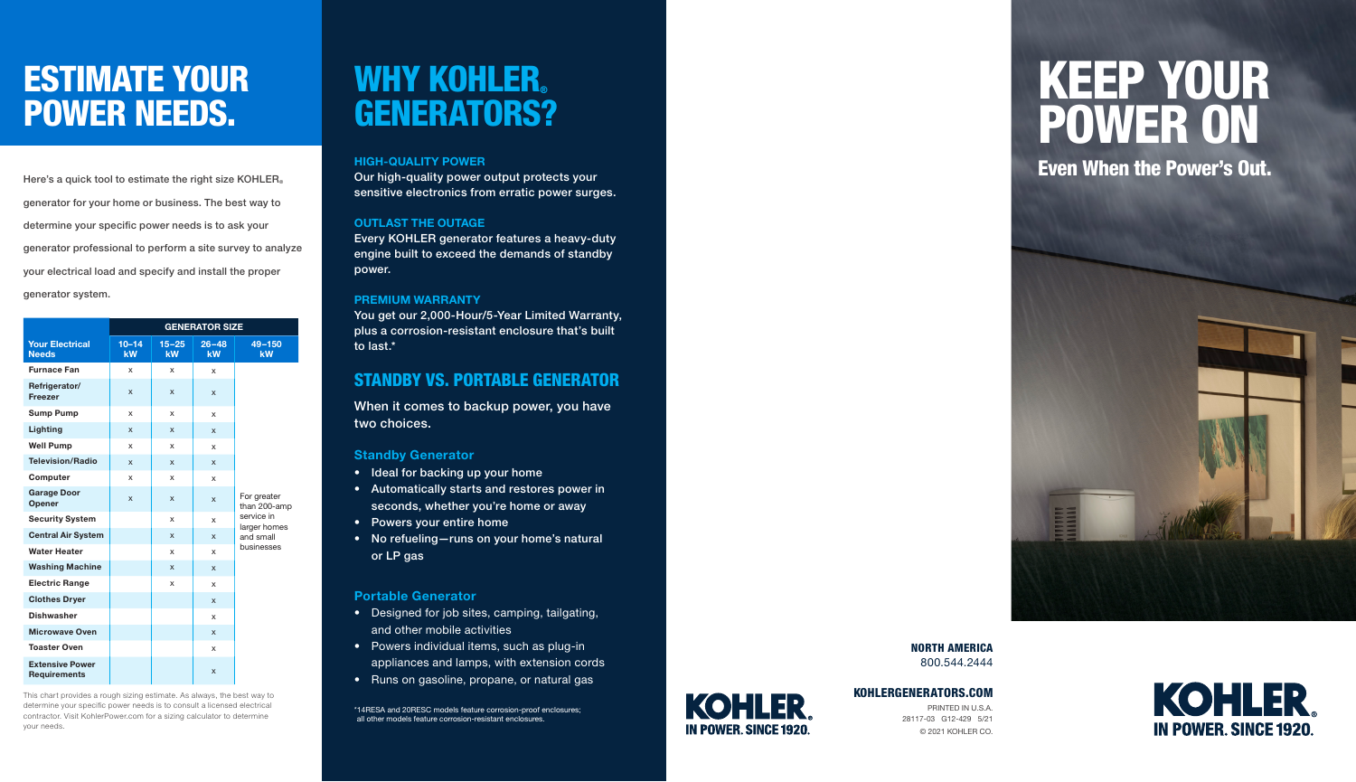# ESTIMATE YOUR POWER NEEDS.

Here's a quick tool to estimate the right size KOHLER ® generator for your home or business. The best way to determine your specific power needs is to ask your generator professional to perform a site survey to analyze your electrical load and specify and install the proper generator system.

|                                               | <b>GENERATOR SIZE</b> |                 |                 |                             |  |  |  |  |  |  |
|-----------------------------------------------|-----------------------|-----------------|-----------------|-----------------------------|--|--|--|--|--|--|
| <b>Your Electrical</b><br><b>Needs</b>        | $10 - 14$<br>kW       | $15 - 25$<br>kW | $26 - 48$<br>kW | $49 - 150$<br>kW            |  |  |  |  |  |  |
| <b>Furnace Fan</b>                            | x                     | x               | x               |                             |  |  |  |  |  |  |
| Refrigerator/<br>Freezer                      | X                     | X               | X               |                             |  |  |  |  |  |  |
| <b>Sump Pump</b>                              | x                     | x               | x               |                             |  |  |  |  |  |  |
| Lighting                                      | X                     | X               | X               |                             |  |  |  |  |  |  |
| <b>Well Pump</b>                              | x                     | x               | x               |                             |  |  |  |  |  |  |
| <b>Television/Radio</b>                       | X                     | X               | X               |                             |  |  |  |  |  |  |
| Computer                                      | x                     | x               | x               |                             |  |  |  |  |  |  |
| <b>Garage Door</b><br>Opener                  | X                     | X               | X               | For greater<br>than 200-amp |  |  |  |  |  |  |
| <b>Security System</b>                        |                       | x               | x               | service in<br>larger homes  |  |  |  |  |  |  |
| <b>Central Air System</b>                     |                       | X               | X               | and small                   |  |  |  |  |  |  |
| <b>Water Heater</b>                           |                       | x               | x               | businesses                  |  |  |  |  |  |  |
| <b>Washing Machine</b>                        |                       | X               | X               |                             |  |  |  |  |  |  |
| <b>Electric Range</b>                         |                       | x               | x               |                             |  |  |  |  |  |  |
| <b>Clothes Dryer</b>                          |                       |                 | X               |                             |  |  |  |  |  |  |
| <b>Dishwasher</b>                             |                       |                 | x               |                             |  |  |  |  |  |  |
| <b>Microwave Oven</b>                         |                       |                 | X               |                             |  |  |  |  |  |  |
| <b>Toaster Oven</b>                           |                       |                 | x               |                             |  |  |  |  |  |  |
| <b>Extensive Power</b><br><b>Requirements</b> |                       |                 | X               |                             |  |  |  |  |  |  |

This chart provides a rough sizing estimate. As always, the best way to determine your specific power needs is to consult a licensed electrical contractor. Visit KohlerPower.com for a sizing calculator to determine your needs.

# WHY KOHLER. GENERATORS?

### HIGH-QUALITY POWER

Our high-quality power output protects your sensitive electronics from erratic power surges.

## OUTLAST THE OUTAGE

Every KOHLER generator features a heavy-duty engine built to exceed the demands of standby power.

## PREMIUM WARRANTY

You get our 2,000-Hour/5-Year Limited Warranty, plus a corrosion-resistant enclosure that's built to last.\*

# STANDBY VS. PORTABLE GENERATOR

When it comes to backup power, you have two choices.

# Standby Generator

- Ideal for backing up your home
- Automatically starts and restores power in seconds, whether you're home or away
- 
- Powers your entire home<br>• No refueling—runs on your home's natural or LP gas

# Portable Generator

- Designed for job sites, camping, tailgating, and other mobile activities
- Powers individual items, such as plug-in appliances and lamps, with extension cords
- Runs on gasoline, propane, or natural gas

\*14RESA and 20RESC models feature corrosion-proof enclosures; all other models feature corrosion-resistant enclosures.



# KOHLERGENERATORS.COM

PRINTED IN U.S.A. 28117-03 G12-429 5/21 © 2021 KOHLER CO.

NORTH AMERICA 800.544.2444

# KEEP YOUR POWER ON

Even When the Power's Out.



**KOHLER IN POWER, SINCE 1920**